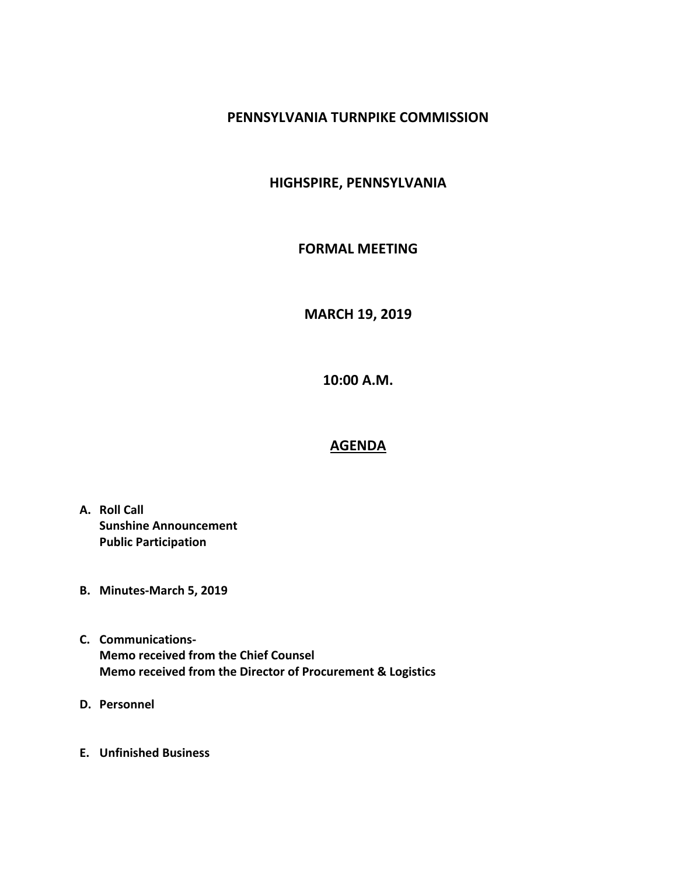# **PENNSYLVANIA TURNPIKE COMMISSION**

# **HIGHSPIRE, PENNSYLVANIA**

### **FORMAL MEETING**

**MARCH 19, 2019**

**10:00 A.M.**

# **AGENDA**

- **A. Roll Call Sunshine Announcement Public Participation**
- **B. Minutes-March 5, 2019**
- **C. Communications-Memo received from the Chief Counsel Memo received from the Director of Procurement & Logistics**
- **D. Personnel**
- **E. Unfinished Business**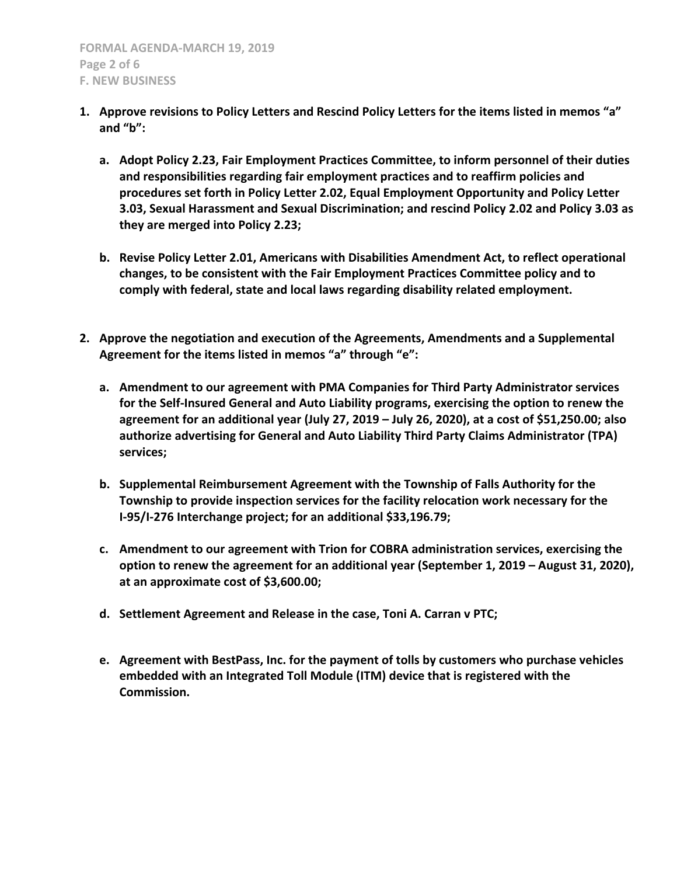- **1. Approve revisions to Policy Letters and Rescind Policy Letters for the items listed in memos "a" and "b":**
	- **a. Adopt Policy 2.23, Fair Employment Practices Committee, to inform personnel of their duties and responsibilities regarding fair employment practices and to reaffirm policies and procedures set forth in Policy Letter 2.02, Equal Employment Opportunity and Policy Letter 3.03, Sexual Harassment and Sexual Discrimination; and rescind Policy 2.02 and Policy 3.03 as they are merged into Policy 2.23;**
	- **b. Revise Policy Letter 2.01, Americans with Disabilities Amendment Act, to reflect operational changes, to be consistent with the Fair Employment Practices Committee policy and to comply with federal, state and local laws regarding disability related employment.**
- **2. Approve the negotiation and execution of the Agreements, Amendments and a Supplemental Agreement for the items listed in memos "a" through "e":**
	- **a. Amendment to our agreement with PMA Companies for Third Party Administrator services for the Self-Insured General and Auto Liability programs, exercising the option to renew the agreement for an additional year (July 27, 2019 – July 26, 2020), at a cost of \$51,250.00; also authorize advertising for General and Auto Liability Third Party Claims Administrator (TPA) services;**
	- **b. Supplemental Reimbursement Agreement with the Township of Falls Authority for the Township to provide inspection services for the facility relocation work necessary for the I-95/I-276 Interchange project; for an additional \$33,196.79;**
	- **c. Amendment to our agreement with Trion for COBRA administration services, exercising the option to renew the agreement for an additional year (September 1, 2019 - August 31, 2020), at an approximate cost of \$3,600.00;**
	- **d. Settlement Agreement and Release in the case, Toni A. Carran v PTC;**
	- **e. Agreement with BestPass, Inc. for the payment of tolls by customers who purchase vehicles embedded with an Integrated Toll Module (ITM) device that is registered with the Commission.**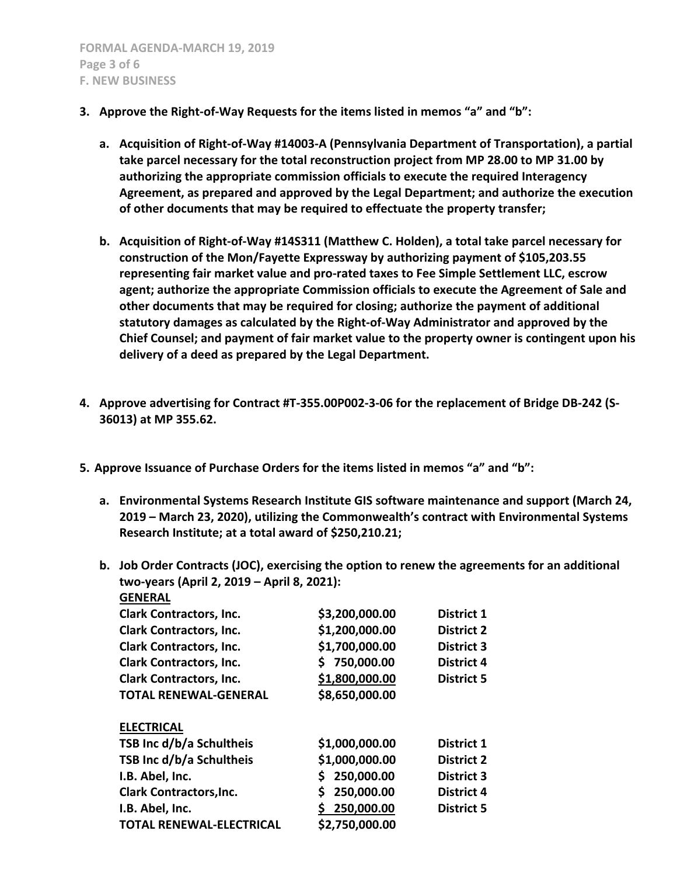- **3. Approve the Right-of-Way Requests for the items listed in memos "a" and "b":**
	- **a. Acquisition of Right-of-Way #14003-A (Pennsylvania Department of Transportation), a partial take parcel necessary for the total reconstruction project from MP 28.00 to MP 31.00 by authorizing the appropriate commission officials to execute the required Interagency Agreement, as prepared and approved by the Legal Department; and authorize the execution of other documents that may be required to effectuate the property transfer;**
	- **b. Acquisition of Right-of-Way #14S311 (Matthew C. Holden), a total take parcel necessary for construction of the Mon/Fayette Expressway by authorizing payment of \$105,203.55 representing fair market value and pro-rated taxes to Fee Simple Settlement LLC, escrow agent; authorize the appropriate Commission officials to execute the Agreement of Sale and other documents that may be required for closing; authorize the payment of additional statutory damages as calculated by the Right-of-Way Administrator and approved by the Chief Counsel; and payment of fair market value to the property owner is contingent upon his delivery of a deed as prepared by the Legal Department.**
- **4. Approve advertising for Contract #T-355.00P002-3-06 for the replacement of Bridge DB-242 (S-36013) at MP 355.62.**
- **5. Approve Issuance of Purchase Orders for the items listed in memos "a" and "b":**
	- **a. Environmental Systems Research Institute GIS software maintenance and support (March 24, 2019 – March 23, 2020), utilizing the Commonwealth's contract with Environmental Systems Research Institute; at a total award of \$250,210.21;**
	- **b. Job Order Contracts (JOC), exercising the option to renew the agreements for an additional two-years (April 2, 2019 – April 8, 2021): GENERAL**

| <b>GENEKAL</b>                  |                  |                   |
|---------------------------------|------------------|-------------------|
| <b>Clark Contractors, Inc.</b>  | \$3,200,000.00   | <b>District 1</b> |
| <b>Clark Contractors, Inc.</b>  | \$1,200,000.00   | <b>District 2</b> |
| <b>Clark Contractors, Inc.</b>  | \$1,700,000.00   | <b>District 3</b> |
| <b>Clark Contractors, Inc.</b>  | \$750,000.00     | <b>District 4</b> |
| <b>Clark Contractors, Inc.</b>  | \$1,800,000.00   | <b>District 5</b> |
| <b>TOTAL RENEWAL-GENERAL</b>    | \$8,650,000.00   |                   |
|                                 |                  |                   |
| <b>ELECTRICAL</b>               |                  |                   |
| TSB Inc d/b/a Schultheis        | \$1,000,000.00   | <b>District 1</b> |
| TSB Inc d/b/a Schultheis        | \$1,000,000.00   | <b>District 2</b> |
| I.B. Abel, Inc.                 | 250,000.00<br>S. | <b>District 3</b> |
| <b>Clark Contractors, Inc.</b>  | 250,000.00<br>\$ | <b>District 4</b> |
| I.B. Abel, Inc.                 | \$250,000.00     | <b>District 5</b> |
| <b>TOTAL RENEWAL-ELECTRICAL</b> | \$2,750,000.00   |                   |
|                                 |                  |                   |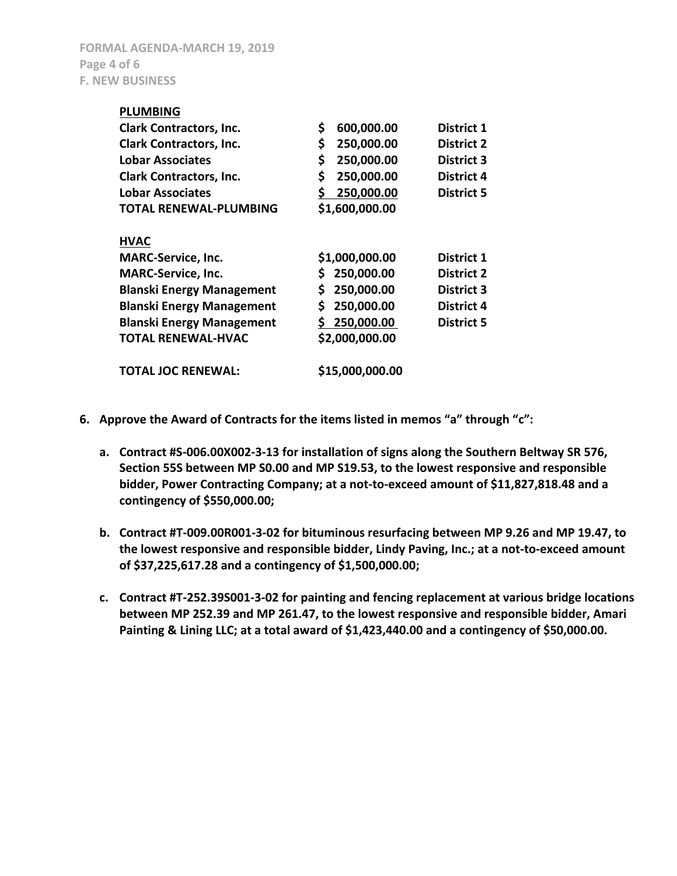**FORMAL AGENDA-MARCH 19, 2019 Page 4 of 6 F. NEW BUSINESS**

| <b>PLUMBING</b>                  |                   |                   |
|----------------------------------|-------------------|-------------------|
| <b>Clark Contractors, Inc.</b>   | \$<br>600,000.00  | District 1        |
| <b>Clark Contractors, Inc.</b>   | \$<br>250,000.00  | <b>District 2</b> |
| <b>Lobar Associates</b>          | \$<br>250,000.00  | <b>District 3</b> |
| <b>Clark Contractors, Inc.</b>   | \$<br>250,000.00  | <b>District 4</b> |
| <b>Lobar Associates</b>          | \$.<br>250,000.00 | <b>District 5</b> |
| <b>TOTAL RENEWAL-PLUMBING</b>    | \$1,600,000.00    |                   |
|                                  |                   |                   |
| <b>HVAC</b>                      |                   |                   |
| <b>MARC-Service, Inc.</b>        | \$1,000,000.00    | <b>District 1</b> |
| <b>MARC-Service, Inc.</b>        | \$250,000.00      | <b>District 2</b> |
| <b>Blanski Energy Management</b> | S.<br>250,000.00  | <b>District 3</b> |
| <b>Blanski Energy Management</b> | \$<br>250,000.00  | <b>District 4</b> |
| <b>Blanski Energy Management</b> | \$250,000.00      | <b>District 5</b> |
| <b>TOTAL RENEWAL-HVAC</b>        | \$2,000,000.00    |                   |
| <b>TOTAL JOC RENEWAL:</b>        | \$15,000,000.00   |                   |
|                                  |                   |                   |

- **6. Approve the Award of Contracts for the items listed in memos "a" through "c":**
	- **a. Contract #S-006.00X002-3-13 for installation of signs along the Southern Beltway SR 576, Section 55S between MP S0.00 and MP S19.53, to the lowest responsive and responsible bidder, Power Contracting Company; at a not-to-exceed amount of \$11,827,818.48 and a contingency of \$550,000.00;**
	- **b. Contract #T-009.00R001-3-02 for bituminous resurfacing between MP 9.26 and MP 19.47, to the lowest responsive and responsible bidder, Lindy Paving, Inc.; at a not-to-exceed amount of \$37,225,617.28 and a contingency of \$1,500,000.00;**
	- **c. Contract #T-252.39S001-3-02 for painting and fencing replacement at various bridge locations between MP 252.39 and MP 261.47, to the lowest responsive and responsible bidder, Amari Painting & Lining LLC; at a total award of \$1,423,440.00 and a contingency of \$50,000.00.**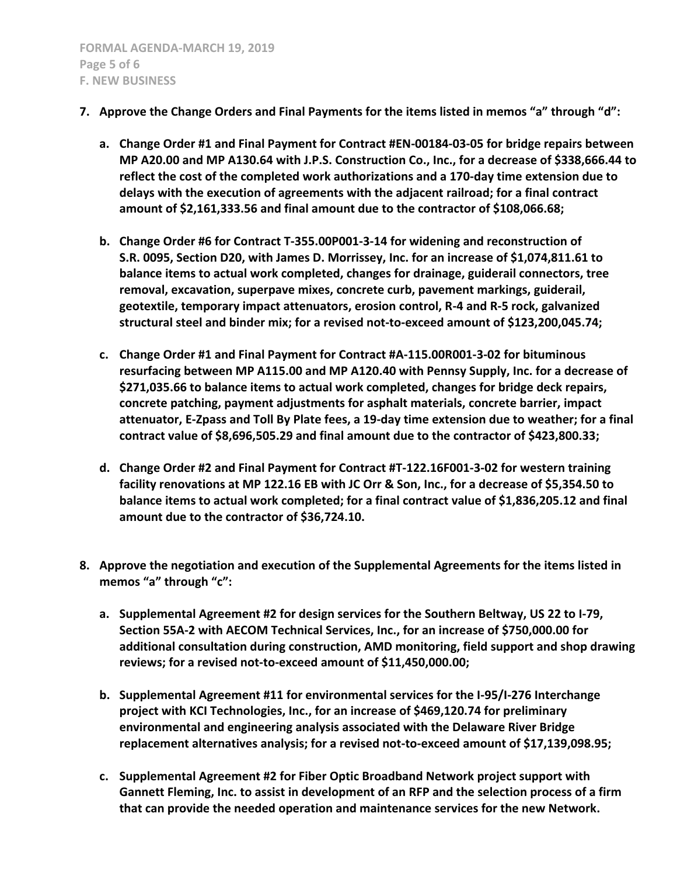- **7. Approve the Change Orders and Final Payments for the items listed in memos "a" through "d":**
	- **a. Change Order #1 and Final Payment for Contract #EN-00184-03-05 for bridge repairs between MP A20.00 and MP A130.64 with J.P.S. Construction Co., Inc., for a decrease of \$338,666.44 to reflect the cost of the completed work authorizations and a 170-day time extension due to delays with the execution of agreements with the adjacent railroad; for a final contract amount of \$2,161,333.56 and final amount due to the contractor of \$108,066.68;**
	- **b. Change Order #6 for Contract T-355.00P001-3-14 for widening and reconstruction of S.R. 0095, Section D20, with James D. Morrissey, Inc. for an increase of \$1,074,811.61 to balance items to actual work completed, changes for drainage, guiderail connectors, tree removal, excavation, superpave mixes, concrete curb, pavement markings, guiderail, geotextile, temporary impact attenuators, erosion control, R-4 and R-5 rock, galvanized structural steel and binder mix; for a revised not-to-exceed amount of \$123,200,045.74;**
	- **c. Change Order #1 and Final Payment for Contract #A-115.00R001-3-02 for bituminous resurfacing between MP A115.00 and MP A120.40 with Pennsy Supply, Inc. for a decrease of \$271,035.66 to balance items to actual work completed, changes for bridge deck repairs, concrete patching, payment adjustments for asphalt materials, concrete barrier, impact attenuator, E-Zpass and Toll By Plate fees, a 19-day time extension due to weather; for a final contract value of \$8,696,505.29 and final amount due to the contractor of \$423,800.33;**
	- **d. Change Order #2 and Final Payment for Contract #T-122.16F001-3-02 for western training facility renovations at MP 122.16 EB with JC Orr & Son, Inc., for a decrease of \$5,354.50 to balance items to actual work completed; for a final contract value of \$1,836,205.12 and final amount due to the contractor of \$36,724.10.**
- **8. Approve the negotiation and execution of the Supplemental Agreements for the items listed in memos "a" through "c":**
	- **a. Supplemental Agreement #2 for design services for the Southern Beltway, US 22 to I-79, Section 55A-2 with AECOM Technical Services, Inc., for an increase of \$750,000.00 for additional consultation during construction, AMD monitoring, field support and shop drawing reviews; for a revised not-to-exceed amount of \$11,450,000.00;**
	- **b. Supplemental Agreement #11 for environmental services for the I-95/I-276 Interchange project with KCI Technologies, Inc., for an increase of \$469,120.74 for preliminary environmental and engineering analysis associated with the Delaware River Bridge replacement alternatives analysis; for a revised not-to-exceed amount of \$17,139,098.95;**
	- **c. Supplemental Agreement #2 for Fiber Optic Broadband Network project support with Gannett Fleming, Inc. to assist in development of an RFP and the selection process of a firm that can provide the needed operation and maintenance services for the new Network.**